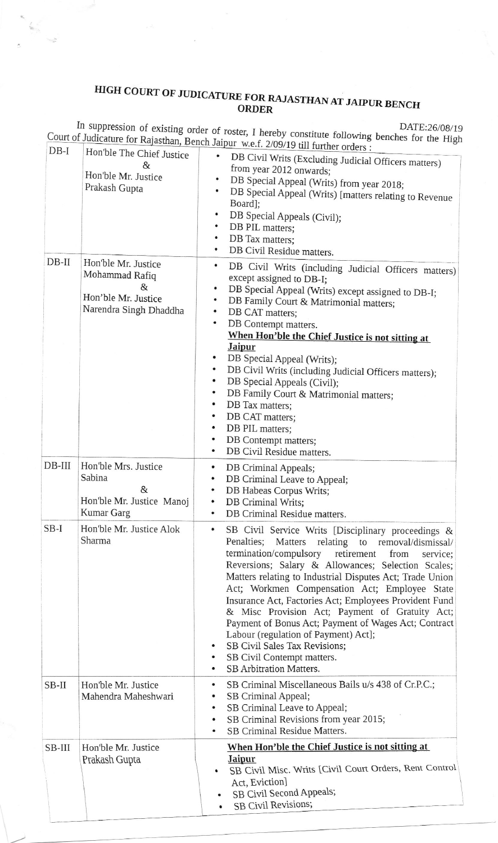## HIGH COURT OF JUDICATURE FOR RAJASTHAN AT JAIPUR BENCH ORDER

 $\frac{C}{\sqrt{2}}$ 

In suppression of existing order of roster, I hereby constitute following benches for the High Court of Judicature for Rajasthan, Bench Jaipur w.e.f. 2/09/19 till further orders :

| $DB-I$   | Hon'ble The Chief Justice                                                                   | example w.e.f. 2/09/19 till further orders :                                                                                                                                                                                                                                                                                                                                                                                                                                                                                                                                                                                                             |
|----------|---------------------------------------------------------------------------------------------|----------------------------------------------------------------------------------------------------------------------------------------------------------------------------------------------------------------------------------------------------------------------------------------------------------------------------------------------------------------------------------------------------------------------------------------------------------------------------------------------------------------------------------------------------------------------------------------------------------------------------------------------------------|
|          | &<br>Hon'ble Mr. Justice<br>Prakash Gupta                                                   | DB Civil Writs (Excluding Judicial Officers matters)<br>from year 2012 onwards;<br>DB Special Appeal (Writs) from year 2018;<br>DB Special Appeal (Writs) [matters relating to Revenue<br>Board];<br>DB Special Appeals (Civil);<br>DB PIL matters;<br>٠<br>DB Tax matters;<br>$\bullet$<br>DB Civil Residue matters.                                                                                                                                                                                                                                                                                                                                    |
| $DB-II$  | Hon'ble Mr. Justice<br>Mohammad Rafiq<br>&<br>Hon'ble Mr. Justice<br>Narendra Singh Dhaddha | ٠<br>DB Civil Writs (including Judicial Officers matters)<br>except assigned to DB-I;<br>DB Special Appeal (Writs) except assigned to DB-I;<br>٠<br>$\bullet$<br>DB Family Court & Matrimonial matters;<br>DB CAT matters;<br>$\bullet$<br>DB Contempt matters.<br>$\bullet$<br>When Hon'ble the Chief Justice is not sitting at<br><b>Jaipur</b><br>DB Special Appeal (Writs);<br>DB Civil Writs (including Judicial Officers matters);<br>DB Special Appeals (Civil);<br>DB Family Court & Matrimonial matters;<br>DB Tax matters;<br>DB CAT matters;<br>DB PIL matters;<br>DB Contempt matters;<br>DB Civil Residue matters.                          |
| $DB-III$ | Hon'ble Mrs. Justice<br>Sabina<br>&<br>Hon'ble Mr. Justice Manoj<br><b>Kumar Garg</b>       | DB Criminal Appeals;<br>٠<br>DB Criminal Leave to Appeal;<br>DB Habeas Corpus Writs;<br>DB Criminal Writs;<br>DB Criminal Residue matters.<br>$\bullet$                                                                                                                                                                                                                                                                                                                                                                                                                                                                                                  |
| $SB-I$   | Hon'ble Mr. Justice Alok<br>Sharma                                                          | SB Civil Service Writs [Disciplinary proceedings &<br>Matters relating to removal/dismissal/<br>Penalties;<br>termination/compulsory retirement<br>from<br>service:<br>Reversions; Salary & Allowances; Selection Scales;<br>Matters relating to Industrial Disputes Act; Trade Union<br>Act; Workmen Compensation Act; Employee State<br>Insurance Act, Factories Act; Employees Provident Fund<br>& Misc Provision Act; Payment of Gratuity Act;<br>Payment of Bonus Act; Payment of Wages Act; Contract<br>Labour (regulation of Payment) Act];<br>SB Civil Sales Tax Revisions;<br>SB Civil Contempt matters.<br>٠<br><b>SB Arbitration Matters.</b> |
| $SB-II$  | Hon'ble Mr. Justice<br>Mahendra Maheshwari                                                  | SB Criminal Miscellaneous Bails u/s 438 of Cr.P.C.;<br>٠<br>SB Criminal Appeal;<br>SB Criminal Leave to Appeal;<br>٠<br>SB Criminal Revisions from year 2015;<br>٠<br>SB Criminal Residue Matters.                                                                                                                                                                                                                                                                                                                                                                                                                                                       |
| SB-III   | Hon'ble Mr. Justice<br>Prakash Gupta                                                        | When Hon'ble the Chief Justice is not sitting at<br><b>Jaipur</b><br>SB Civil Misc. Writs [Civil Court Orders, Rent Control]<br>Act, Eviction]<br>SB Civil Second Appeals;<br>SB Civil Revisions;                                                                                                                                                                                                                                                                                                                                                                                                                                                        |